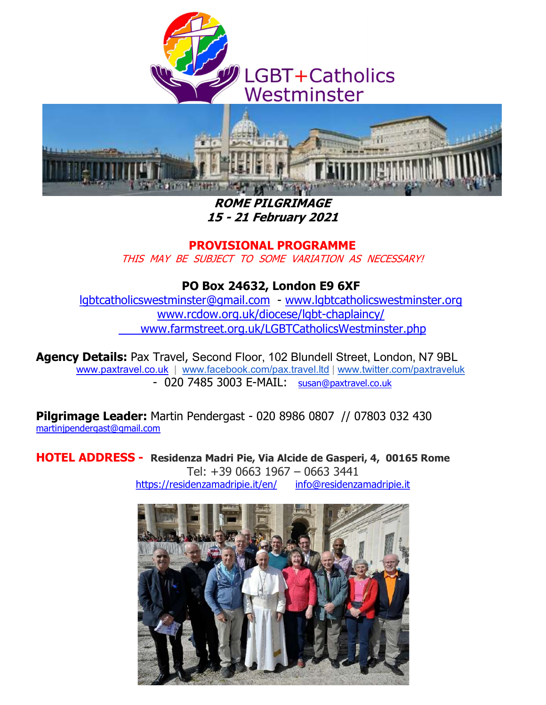



ROME PILGRIMAGE 15 - 21 February 2021

PROVISIONAL PROGRAMME

THIS MAY BE SUBJECT TO SOME VARIATION AS NECESSARY!

PO Box 24632, London E9 6XF

lgbtcatholicswestminster@gmail.com - www.lgbtcatholicswestminster.org www.rcdow.org.uk/diocese/lgbt-chaplaincy/ www.farmstreet.org.uk/LGBTCatholicsWestminster.php

Agency Details: Pax Travel, Second Floor, 102 Blundell Street, London, N7 9BL www.paxtravel.co.uk | www.facebook.com/pax.travel.ltd | www.twitter.com/paxtraveluk - 020 7485 3003 E-MAIL: susan@paxtravel.co.uk

Pilgrimage Leader: Martin Pendergast - 020 8986 0807 // 07803 032 430 martinjpendergast@gmail.com

HOTEL ADDRESS - Residenza Madri Pie, Via Alcide de Gasperi, 4, 00165 Rome Tel: +39 0663 1967 – 0663 3441 https://residenzamadripie.it/en/ info@residenzamadripie.it